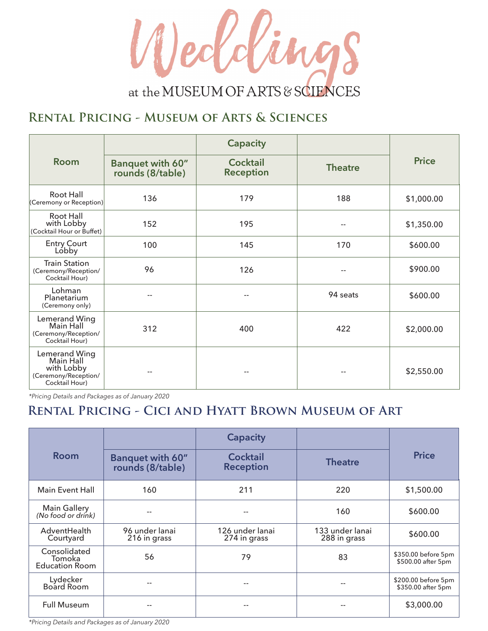

#### **Rental Pricing - Museum of Arts & Sciences**

| <b>Room</b>                                                                        | Banquet with 60"<br>rounds (8/table) | <b>Capacity</b><br><b>Cocktail</b><br><b>Reception</b> | <b>Theatre</b> | <b>Price</b> |
|------------------------------------------------------------------------------------|--------------------------------------|--------------------------------------------------------|----------------|--------------|
| Root Hall<br>(Ceremony or Reception)                                               | 136                                  | 179                                                    | 188            | \$1,000.00   |
| Root Hall<br>with Lobby<br>(Cocktail Hour or Buffet)                               | 152                                  | 195                                                    |                | \$1,350.00   |
| <b>Entry Court</b><br>Lóbby                                                        | 100                                  | 145                                                    | 170            | \$600.00     |
| <b>Train Station</b><br>(Ceremony/Reception/<br>Cocktail Hour)                     | 96                                   | 126                                                    |                | \$900.00     |
| Lohman<br>Planetarium<br>(Ceremony only)                                           |                                      |                                                        | 94 seats       | \$600.00     |
| Lemerand Wing<br>Main Hall<br>(Ceremony/Reception/<br>Cocktail Hour)               | 312                                  | 400                                                    | 422            | \$2,000.00   |
| Lemerand Wing<br>Main Hall<br>with Lobby<br>(Ceremony/Reception/<br>Cocktail Hour) |                                      |                                                        |                | \$2,550.00   |

*\*Pricing Details and Packages as of January 2020*

#### **Rental Pricing - Cici and Hyatt Brown Museum of Art**

| <b>Room</b>                                     |                                             | <b>Capacity</b>                     |                                 | <b>Price</b>                              |
|-------------------------------------------------|---------------------------------------------|-------------------------------------|---------------------------------|-------------------------------------------|
|                                                 | <b>Banquet with 60"</b><br>rounds (8/table) | <b>Cocktail</b><br><b>Reception</b> | <b>Theatre</b>                  |                                           |
| <b>Main Event Hall</b>                          | 160                                         | 211                                 | 220                             | \$1,500.00                                |
| <b>Main Gallery</b><br>(No food or drink)       |                                             |                                     | 160                             | \$600.00                                  |
| AdventHealth<br>Courtyard                       | 96 under lanai<br>216 in grass              | 126 under lanai<br>274 in grass     | 133 under lanai<br>288 in grass | \$600.00                                  |
| Consolidated<br>Tomoka<br><b>Education Room</b> | 56                                          | 79                                  | 83                              | \$350.00 before 5pm<br>\$500.00 after 5pm |
| Lydecker<br>Board Room                          | --                                          |                                     | --                              | \$200.00 before 5pm<br>\$350.00 after 5pm |
| <b>Full Museum</b>                              |                                             | --                                  |                                 | \$3,000.00                                |

*\*Pricing Details and Packages as of January 2020*